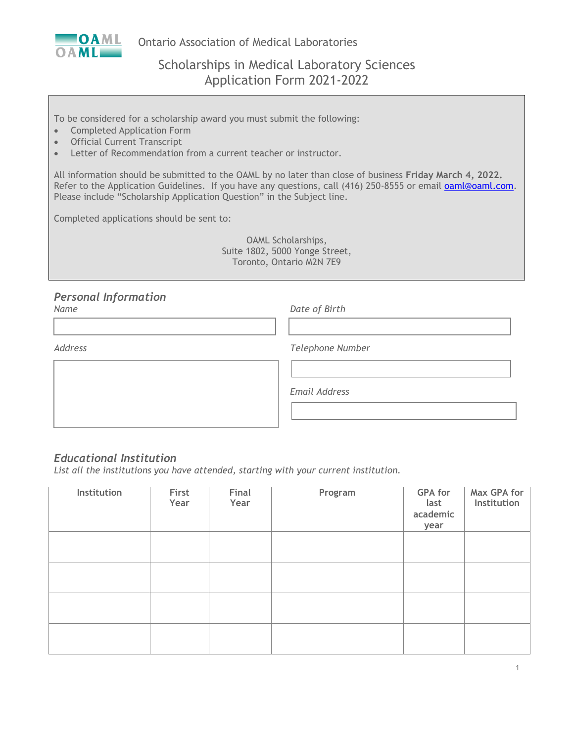

Ontario Association of Medical Laboratories

# Scholarships in Medical Laboratory Sciences Application Form 2021-2022

To be considered for a scholarship award you must submit the following:

- Completed Application Form
- Official Current Transcript
- Letter of Recommendation from a current teacher or instructor.

All information should be submitted to the OAML by no later than close of business **Friday March 4, 2022.** Refer to the Application Guidelines. If you have any questions, call (416) 250-8555 or email [oaml@oaml.com.](mailto:oaml@oaml.com) Please include "Scholarship Application Question" in the Subject line.

Completed applications should be sent to:

OAML Scholarships, Suite 1802, 5000 Yonge Street, Toronto, Ontario M2N 7E9

#### *Personal Information*

*Name Date of Birth*

*Address Telephone Number*

*Email Address*

#### *Educational Institution*

*List all the institutions you have attended, starting with your current institution.*

| <b>Institution</b> | First<br>Year | Final<br>Year | Program | <b>GPA</b> for<br>last<br>academic<br>year | Max GPA for<br>Institution |
|--------------------|---------------|---------------|---------|--------------------------------------------|----------------------------|
|                    |               |               |         |                                            |                            |
|                    |               |               |         |                                            |                            |
|                    |               |               |         |                                            |                            |
|                    |               |               |         |                                            |                            |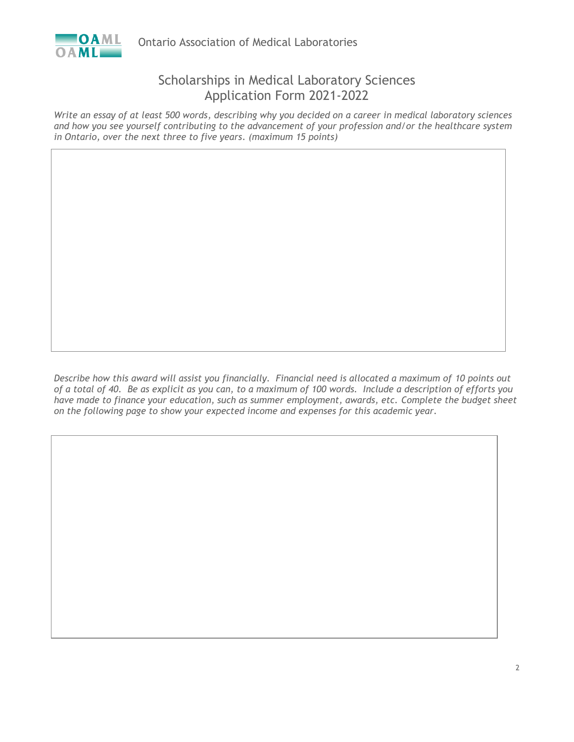

### Scholarships in Medical Laboratory Sciences Application Form 2021-2022

*Write an essay of at least 500 words, describing why you decided on a career in medical laboratory sciences and how you see yourself contributing to the advancement of your profession and/or the healthcare system in Ontario, over the next three to five years. (maximum 15 points)*

*Describe how this award will assist you financially. Financial need is allocated a maximum of 10 points out of a total of 40. Be as explicit as you can, to a maximum of 100 words. Include a description of efforts you*  have made to finance your education, such as summer employment, awards, etc. Complete the budget sheet *on the following page to show your expected income and expenses for this academic year.*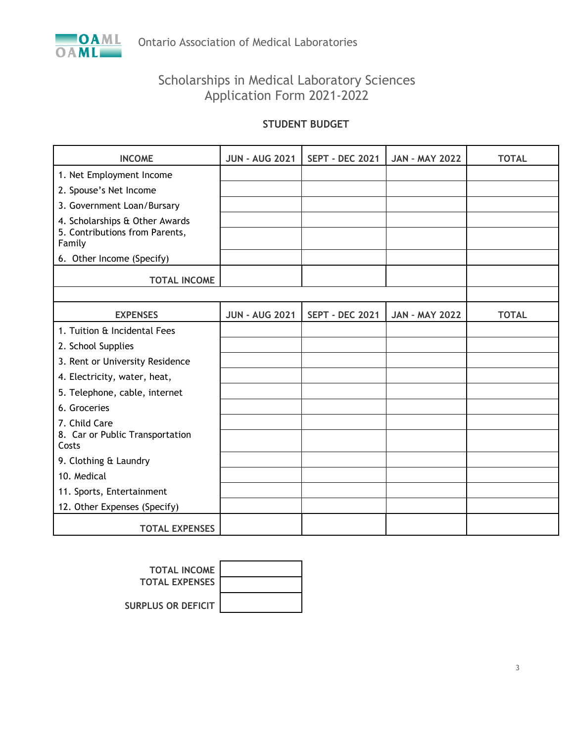

# Scholarships in Medical Laboratory Sciences Application Form 2021-2022

#### **STUDENT BUDGET**

| <b>INCOME</b>                                                    | <b>JUN - AUG 2021</b> | <b>SEPT - DEC 2021</b> | <b>JAN - MAY 2022</b> | <b>TOTAL</b> |
|------------------------------------------------------------------|-----------------------|------------------------|-----------------------|--------------|
| 1. Net Employment Income                                         |                       |                        |                       |              |
| 2. Spouse's Net Income                                           |                       |                        |                       |              |
| 3. Government Loan/Bursary                                       |                       |                        |                       |              |
| 4. Scholarships & Other Awards<br>5. Contributions from Parents, |                       |                        |                       |              |
| Family                                                           |                       |                        |                       |              |
| 6. Other Income (Specify)                                        |                       |                        |                       |              |
| <b>TOTAL INCOME</b>                                              |                       |                        |                       |              |
|                                                                  |                       |                        |                       |              |
| <b>EXPENSES</b>                                                  | <b>JUN - AUG 2021</b> | <b>SEPT - DEC 2021</b> | <b>JAN - MAY 2022</b> | <b>TOTAL</b> |
| 1. Tuition & Incidental Fees                                     |                       |                        |                       |              |
| 2. School Supplies                                               |                       |                        |                       |              |
| 3. Rent or University Residence                                  |                       |                        |                       |              |
| 4. Electricity, water, heat,                                     |                       |                        |                       |              |
| 5. Telephone, cable, internet                                    |                       |                        |                       |              |
| 6. Groceries                                                     |                       |                        |                       |              |
| 7. Child Care                                                    |                       |                        |                       |              |
| 8. Car or Public Transportation<br>Costs                         |                       |                        |                       |              |
| 9. Clothing & Laundry                                            |                       |                        |                       |              |
| 10. Medical                                                      |                       |                        |                       |              |
| 11. Sports, Entertainment                                        |                       |                        |                       |              |
| 12. Other Expenses (Specify)                                     |                       |                        |                       |              |
| <b>TOTAL EXPENSES</b>                                            |                       |                        |                       |              |

| <b>TOTAL INCOME</b>       |  |
|---------------------------|--|
| <b>TOTAL EXPENSES</b>     |  |
| <b>SURPLUS OR DEFICIT</b> |  |

3